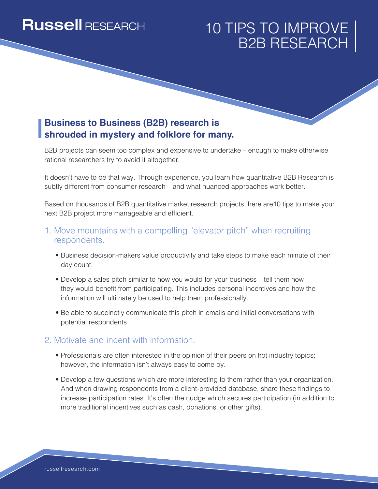# **Russell RESEARCH**

# 10 TIPS TO IMPROVE B2B RESEARCH

### **Business to Business (B2B) research is shrouded in mystery and folklore for many.**

B2B projects can seem too complex and expensive to undertake – enough to make otherwise rational researchers try to avoid it altogether.

It doesn't have to be that way. Through experience, you learn how quantitative B2B Research is subtly different from consumer research – and what nuanced approaches work better.

Based on thousands of B2B quantitative market research projects, here are10 tips to make your next B2B project more manageable and efficient.

#### 1. Move mountains with a compelling "elevator pitch" when recruiting respondents.

- Business decision-makers value productivity and take steps to make each minute of their day count.
- Develop a sales pitch similar to how you would for your business tell them how they would benefit from participating. This includes personal incentives and how the information will ultimately be used to help them professionally.
- Be able to succinctly communicate this pitch in emails and initial conversations with potential respondents

#### 2. Motivate and incent with information.

- Professionals are often interested in the opinion of their peers on hot industry topics; however, the information isn't always easy to come by.
- Develop a few questions which are more interesting to them rather than your organization. And when drawing respondents from a client-provided database, share these findings to increase participation rates. It's often the nudge which secures participation (in addition to more traditional incentives such as cash, donations, or other gifts).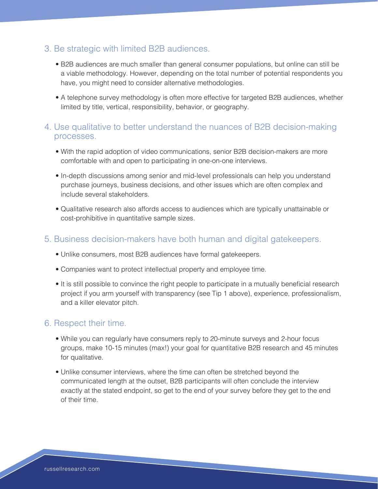#### 3. Be strategic with limited B2B audiences.

- B2B audiences are much smaller than general consumer populations, but online can still be a viable methodology. However, depending on the total number of potential respondents you have, you might need to consider alternative methodologies.
- A telephone survey methodology is often more effective for targeted B2B audiences, whether limited by title, vertical, responsibility, behavior, or geography.

#### 4. Use qualitative to better understand the nuances of B2B decision-making processes.

- With the rapid adoption of video communications, senior B2B decision-makers are more comfortable with and open to participating in one-on-one interviews.
- In-depth discussions among senior and mid-level professionals can help you understand purchase journeys, business decisions, and other issues which are often complex and include several stakeholders.
- Qualitative research also affords access to audiences which are typically unattainable or cost-prohibitive in quantitative sample sizes.

#### 5. Business decision-makers have both human and digital gatekeepers.

- Unlike consumers, most B2B audiences have formal gatekeepers.
- Companies want to protect intellectual property and employee time.
- It is still possible to convince the right people to participate in a mutually beneficial research project if you arm yourself with transparency (see Tip 1 above), experience, professionalism, and a killer elevator pitch.

#### 6. Respect their time.

- While you can regularly have consumers reply to 20-minute surveys and 2-hour focus groups, make 10-15 minutes (max!) your goal for quantitative B2B research and 45 minutes for qualitative.
- Unlike consumer interviews, where the time can often be stretched beyond the communicated length at the outset, B2B participants will often conclude the interview exactly at the stated endpoint, so get to the end of your survey before they get to the end of their time.